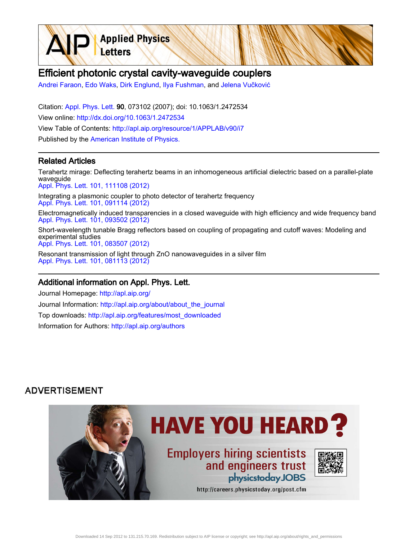Efficient photonic crystal cavity-waveguide couplers

[Andrei Faraon](http://apl.aip.org/search?sortby=newestdate&q=&searchzone=2&searchtype=searchin&faceted=faceted&key=AIP_ALL&possible1=Andrei Faraon&possible1zone=author&alias=&displayid=AIP&ver=pdfcov), [Edo Waks](http://apl.aip.org/search?sortby=newestdate&q=&searchzone=2&searchtype=searchin&faceted=faceted&key=AIP_ALL&possible1=Edo Waks&possible1zone=author&alias=&displayid=AIP&ver=pdfcov), [Dirk Englund](http://apl.aip.org/search?sortby=newestdate&q=&searchzone=2&searchtype=searchin&faceted=faceted&key=AIP_ALL&possible1=Dirk Englund&possible1zone=author&alias=&displayid=AIP&ver=pdfcov), [Ilya Fushman,](http://apl.aip.org/search?sortby=newestdate&q=&searchzone=2&searchtype=searchin&faceted=faceted&key=AIP_ALL&possible1=Ilya Fushman&possible1zone=author&alias=&displayid=AIP&ver=pdfcov) and [Jelena Vučković](http://apl.aip.org/search?sortby=newestdate&q=&searchzone=2&searchtype=searchin&faceted=faceted&key=AIP_ALL&possible1=Jelena Vukovi&possible1zone=author&alias=&displayid=AIP&ver=pdfcov)

Citation: [Appl. Phys. Lett. 9](http://apl.aip.org/?ver=pdfcov)0, 073102 (2007); doi: 10.1063/1.2472534 View online: [http://dx.doi.org/10.1063/1.2472534](http://link.aip.org/link/doi/10.1063/1.2472534?ver=pdfcov) View Table of Contents: [http://apl.aip.org/resource/1/APPLAB/v90/i7](http://apl.aip.org/resource/1/APPLAB/v90/i7?ver=pdfcov) Published by the [American Institute of Physics.](http://www.aip.org/?ver=pdfcov)

**Applied Physics** 

Letters

## Related Articles

Terahertz mirage: Deflecting terahertz beams in an inhomogeneous artificial dielectric based on a parallel-plate waveguide [Appl. Phys. Lett. 101, 111108 \(2012\)](http://link.aip.org/link/doi/10.1063/1.4752241?ver=pdfcov)

Integrating a plasmonic coupler to photo detector of terahertz frequency [Appl. Phys. Lett. 101, 091114 \(2012\)](http://link.aip.org/link/doi/10.1063/1.4748581?ver=pdfcov)

Electromagnetically induced transparencies in a closed waveguide with high efficiency and wide frequency band [Appl. Phys. Lett. 101, 093502 \(2012\)](http://link.aip.org/link/doi/10.1063/1.4748121?ver=pdfcov)

Short-wavelength tunable Bragg reflectors based on coupling of propagating and cutoff waves: Modeling and experimental studies [Appl. Phys. Lett. 101, 083507 \(2012\)](http://link.aip.org/link/doi/10.1063/1.4747149?ver=pdfcov)

Resonant transmission of light through ZnO nanowaveguides in a silver film [Appl. Phys. Lett. 101, 081113 \(2012\)](http://link.aip.org/link/doi/10.1063/1.4747718?ver=pdfcov)

## Additional information on Appl. Phys. Lett.

Journal Homepage: [http://apl.aip.org/](http://apl.aip.org/?ver=pdfcov) Journal Information: [http://apl.aip.org/about/about\\_the\\_journal](http://apl.aip.org/about/about_the_journal?ver=pdfcov) Top downloads: [http://apl.aip.org/features/most\\_downloaded](http://apl.aip.org/features/most_downloaded?ver=pdfcov) Information for Authors: [http://apl.aip.org/authors](http://apl.aip.org/authors?ver=pdfcov)

## **ADVERTISEMENT**

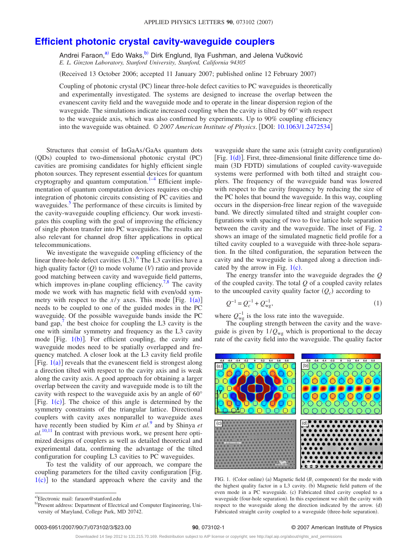## **[Efficient photonic crystal cavity-waveguide couplers](http://dx.doi.org/10.1063/1.2472534)**

Andrei Faraon,<sup>a)</sup> Edo Waks,<sup>b)</sup> Dirk Englund, Ilya Fushman, and Jelena Vučković *E. L. Ginzton Laboratory, Stanford University, Stanford, California 94305*

(Received 13 October 2006; accepted 11 January 2007; published online 12 February 2007)

Coupling of photonic crystal (PC) linear three-hole defect cavities to PC waveguides is theoretically and experimentally investigated. The systems are designed to increase the overlap between the evanescent cavity field and the waveguide mode and to operate in the linear dispersion region of the waveguide. The simulations indicate increased coupling when the cavity is tilted by 60° with respect to the waveguide axis, which was also confirmed by experiments. Up to 90% coupling efficiency into the waveguide was obtained. © 2007 American Institute of Physics. [DOI: [10.1063/1.2472534](http://dx.doi.org/10.1063/1.2472534)]

Structures that consist of InGaAs/GaAs quantum dots (QDs) coupled to two-dimensional photonic crystal (PC) cavities are promising candidates for highly efficient single photon sources. They represent essential devices for quantum cryptography and quantum computation. $1-4$  $1-4$  Efficient implementation of quantum computation devices requires on-chip integration of photonic circuits consisting of PC cavities and waveguides.<sup>3</sup> The performance of these circuits is limited by the cavity-waveguide coupling efficiency. Our work investigates this coupling with the goal of improving the efficiency of single photon transfer into PC waveguides. The results are also relevant for channel drop filter applications in optical telecommunications.

We investigate the waveguide coupling efficiency of the linear three-hole defect cavities  $(L3)$ .<sup>[6](#page-3-3)</sup> The L3 cavities have a high quality factor  $(Q)$  to mode volume  $(V)$  ratio and provide good matching between cavity and waveguide field patterns, which improves in-plane coupling efficiency.<sup>7[,8](#page-3-5)</sup> The cavity mode we work with has magnetic field with even/odd symmetry with respect to the  $x/y$  axes. This mode [Fig. [1](#page-1-2)(a)] needs to be coupled to one of the guided modes in the PC waveguide. Of the possible waveguide bands inside the PC band gap, $\prime$  the best choice for coupling the L3 cavity is the one with similar symmetry and frequency as the L3 cavity mode [Fig.  $1(b)$  $1(b)$ ]. For efficient coupling, the cavity and waveguide modes need to be spatially overlapped and frequency matched. A closer look at the L3 cavity field profile [Fig.  $1(a)$  $1(a)$ ] reveals that the evanescent field is strongest along a direction tilted with respect to the cavity axis and is weak along the cavity axis. A good approach for obtaining a larger overlap between the cavity and waveguide mode is to tilt the cavity with respect to the waveguide axis by an angle of 60° [Fig.  $1(c)$  $1(c)$ ]. The choice of this angle is determined by the symmetry constraints of the triangular lattice. Directional couplers with cavity axes nonparallel to waveguide axes have recently been studied by Kim *et al.*[9](#page-3-6) and by Shinya *et*  $al$ <sup>[10](#page-3-7)[,11](#page-3-8)</sup>. In contrast with previous work, we present here optimized designs of couplers as well as detailed theoretical and experimental data, confirming the advantage of the tilted configuration for coupling L3 cavities to PC waveguides.

To test the validity of our approach, we compare the coupling parameters for the tilted cavity configuration [Fig.  $1(c)$  $1(c)$ ] to the standard approach where the cavity and the

waveguide share the same axis (straight cavity configuration) [Fig.  $1(d)$  $1(d)$ ]. First, three-dimensional finite difference time domain (3D FDTD) simulations of coupled cavity-waveguide systems were performed with both tilted and straight couplers. The frequency of the waveguide band was lowered with respect to the cavity frequency by reducing the size of the PC holes that bound the waveguide. In this way, coupling occurs in the dispersion-free linear region of the waveguide band. We directly simulated tilted and straight coupler configurations with spacing of two to five lattice hole separation between the cavity and the waveguide. The inset of Fig. [2](#page-2-0) shows an image of the simulated magnetic field profile for a tilted cavity coupled to a waveguide with three-hole separation. In the tilted configuration, the separation between the cavity and the waveguide is changed along a direction indicated by the arrow in Fig.  $1(c)$  $1(c)$ .

<span id="page-1-3"></span>The energy transfer into the waveguide degrades the *Q* of the coupled cavity. The total *Q* of a coupled cavity relates to the uncoupled cavity quality factor  $(Q_c)$  according to

$$
Q^{-1} = Q_c^{-1} + Q_{\rm wg}^{-1},\tag{1}
$$

where  $Q_{\text{wg}}^{-1}$  is the loss rate into the waveguide.

The coupling strength between the cavity and the waveguide is given by  $1/Q_{wg}$  which is proportional to the decay rate of the cavity field into the waveguide. The quality factor

<span id="page-1-2"></span>

FIG. 1. (Color online) (a) Magnetic field  $(B_z$  component) for the mode with the highest quality factor in a L3 cavity. (b) Magnetic field pattern of the even mode in a PC waveguide. (c) Fabricated tilted cavity coupled to a waveguide (four-hole separation). In this experiment we shift the cavity with respect to the waveguide along the direction indicated by the arrow. (d) Fabricated straight cavity coupled to a waveguide (three-hole separation).

<span id="page-1-1"></span><span id="page-1-0"></span>a)Electronic mail: faraon@stanford.edu

<sup>&</sup>lt;sup>b)</sup>Present address: Department of Electrical and Computer Engineering, University of Maryland, College Park, MD 20742.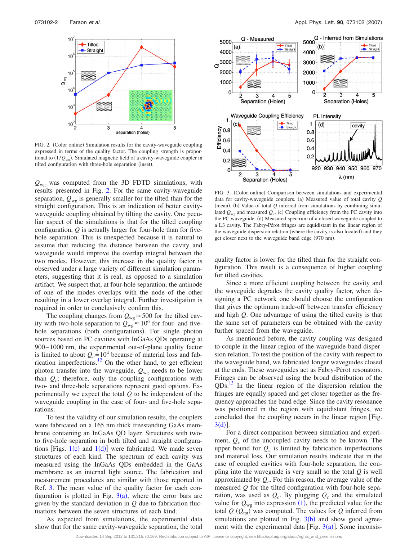<span id="page-2-0"></span>

FIG. 2. (Color online) Simulation results for the cavity-waveguide coupling expressed in terms of the quality factor. The coupling strength is proportional to (1/Q<sub>wg</sub>). Simulated magnetic field of a cavity-waveguide coupler in tilted configuration with three-hole separation (inset).

 $Q_{\text{wg}}$  was computed from the 3D FDTD simulations, with results presented in Fig. [2.](#page-2-0) For the same cavity-waveguide separation,  $Q_{wg}$  is generally smaller for the tilted than for the straight configuration. This is an indication of better cavitywaveguide coupling obtained by tilting the cavity. One peculiar aspect of the simulations is that for the tilted coupling configuration, *Q* is actually larger for four-hole than for fivehole separation. This is unexpected because it is natural to assume that reducing the distance between the cavity and waveguide would improve the overlap integral between the two modes. However, this increase in the quality factor is observed under a large variety of different simulation parameters, suggesting that it is real, as opposed to a simulation artifact. We suspect that, at four-hole separation, the antinode of one of the modes overlaps with the node of the other resulting in a lower overlap integral. Further investigation is required in order to conclusively confirm this.

The coupling changes from  $Q_{wg} \approx 500$  for the tilted cavity with two-hole separation to  $Q_{wg} \approx 10^6$  for four- and fivehole separations (both configurations). For single photon sources based on PC cavities with InGaAs QDs operating at 900– 1000 nm, the experimental out-of-plane quality factor is limited to about  $Q_c = 10^4$  because of material loss and fabrication imperfections.<sup>12</sup> On the other hand, to get efficient photon transfer into the waveguide,  $Q_{wg}$  needs to be lower than  $Q_c$ ; therefore, only the coupling configurations with two- and three-hole separations represent good options. Experimentally we expect the total *Q* to be independent of the waveguide coupling in the case of four- and five-hole separations.

To test the validity of our simulation results, the couplers were fabricated on a 165 nm thick freestanding GaAs membrane containing an InGaAs QD layer. Structures with twoto five-hole separation in both tilted and straight configurations [Figs.  $1(c)$  $1(c)$  and  $1(d)$ ] were fabricated. We made seven structures of each kind. The spectrum of each cavity was measured using the InGaAs QDs embedded in the GaAs membrane as an internal light source. The fabrication and measurement procedures are similar with those reported in Ref. [3.](#page-3-10) The mean value of the quality factor for each configuration is plotted in Fig.  $3(a)$  $3(a)$ , where the error bars are given by the standard deviation in *Q* due to fabrication fluctuations between the seven structures of each kind.

As expected from simulations, the experimental data show that for the same cavity-waveguide separation, the total

<span id="page-2-1"></span>

FIG. 3. (Color online) Comparison between simulations and experimental data for cavity-waveguide couplers. (a) Measured value of total cavity *Q* (mean). (b) Value of total  $Q$  inferred from simulations by combining simulated  $Q_{wg}$  and measured  $Q_c$ . (c) Coupling efficiency from the PC cavity into the PC waveguide. (d) Measured spectrum of a closed waveguide coupled to a L3 cavity. The Fabry-Pérot fringes are equidistant in the linear region of the waveguide dispersion relation (where the cavity is also located) and they get closer next to the waveguide band edge (970 nm).

quality factor is lower for the tilted than for the straight configuration. This result is a consequence of higher coupling for tilted cavities.

Since a more efficient coupling between the cavity and the waveguide degrades the cavity quality factor, when designing a PC network one should choose the configuration that gives the optimum trade-off between transfer efficiency and high *Q*. One advantage of using the tilted cavity is that the same set of parameters can be obtained with the cavity further spaced from the waveguide.

As mentioned before, the cavity coupling was designed to couple in the linear region of the waveguide-band dispersion relation. To test the position of the cavity with respect to the waveguide band, we fabricated longer waveguides closed at the ends. These waveguides act as Fabry-Pérot resonators. Fringes can be observed using the broad distribution of the QDs[.13](#page-3-11) In the linear region of the dispersion relation the fringes are equally spaced and get closer together as the frequency approaches the band edge. Since the cavity resonance was positioned in the region with equidistant fringes, we concluded that the coupling occurs in the linear region [Fig.  $3(d)$  $3(d)$ ].

For a direct comparison between simulation and experiment,  $Q_c$  of the uncoupled cavity needs to be known. The upper bound for  $Q_c$  is limited by fabrication imperfections and material loss. Our simulation results indicate that in the case of coupled cavities with four-hole separation, the coupling into the waveguide is very small so the total *Q* is well approximated by  $Q_c$ . For this reason, the average value of the measured *Q* for the tilted configuration with four-hole separation, was used as  $Q_c$ . By plugging  $Q_c$  and the simulated value for  $Q_{wg}$  into expression ([1](#page-1-3)), the predicted value for the total  $Q$  ( $Q_{\text{tot}}$ ) was computed. The values for  $Q$  inferred from simulations are plotted in Fig.  $3(b)$  $3(b)$  and show good agreement with the experimental data [Fig.  $3(a)$  $3(a)$ ]. Some inconsis